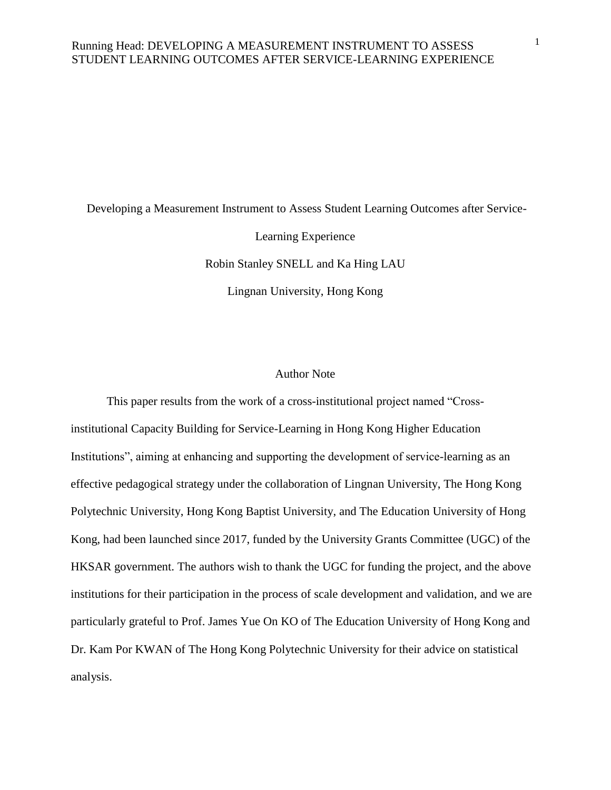Developing a Measurement Instrument to Assess Student Learning Outcomes after Service-

Learning Experience

Robin Stanley SNELL and Ka Hing LAU Lingnan University, Hong Kong

### Author Note

This paper results from the work of a cross-institutional project named "Crossinstitutional Capacity Building for Service-Learning in Hong Kong Higher Education Institutions", aiming at enhancing and supporting the development of service-learning as an effective pedagogical strategy under the collaboration of Lingnan University, The Hong Kong Polytechnic University, Hong Kong Baptist University, and The Education University of Hong Kong, had been launched since 2017, funded by the University Grants Committee (UGC) of the HKSAR government. The authors wish to thank the UGC for funding the project, and the above institutions for their participation in the process of scale development and validation, and we are particularly grateful to Prof. James Yue On KO of The Education University of Hong Kong and Dr. Kam Por KWAN of The Hong Kong Polytechnic University for their advice on statistical analysis.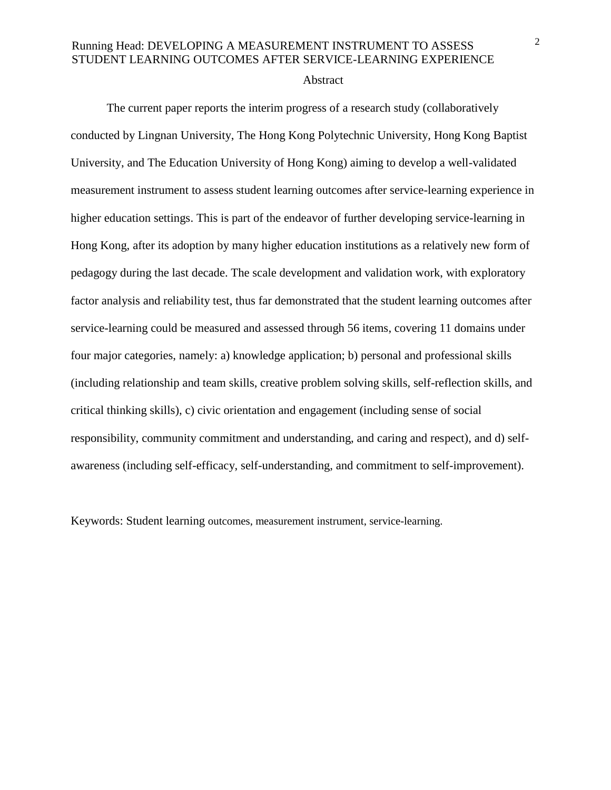#### Abstract

The current paper reports the interim progress of a research study (collaboratively conducted by Lingnan University, The Hong Kong Polytechnic University, Hong Kong Baptist University, and The Education University of Hong Kong) aiming to develop a well-validated measurement instrument to assess student learning outcomes after service-learning experience in higher education settings. This is part of the endeavor of further developing service-learning in Hong Kong, after its adoption by many higher education institutions as a relatively new form of pedagogy during the last decade. The scale development and validation work, with exploratory factor analysis and reliability test, thus far demonstrated that the student learning outcomes after service-learning could be measured and assessed through 56 items, covering 11 domains under four major categories, namely: a) knowledge application; b) personal and professional skills (including relationship and team skills, creative problem solving skills, self-reflection skills, and critical thinking skills), c) civic orientation and engagement (including sense of social responsibility, community commitment and understanding, and caring and respect), and d) selfawareness (including self-efficacy, self-understanding, and commitment to self-improvement).

Keywords: Student learning outcomes, measurement instrument, service-learning.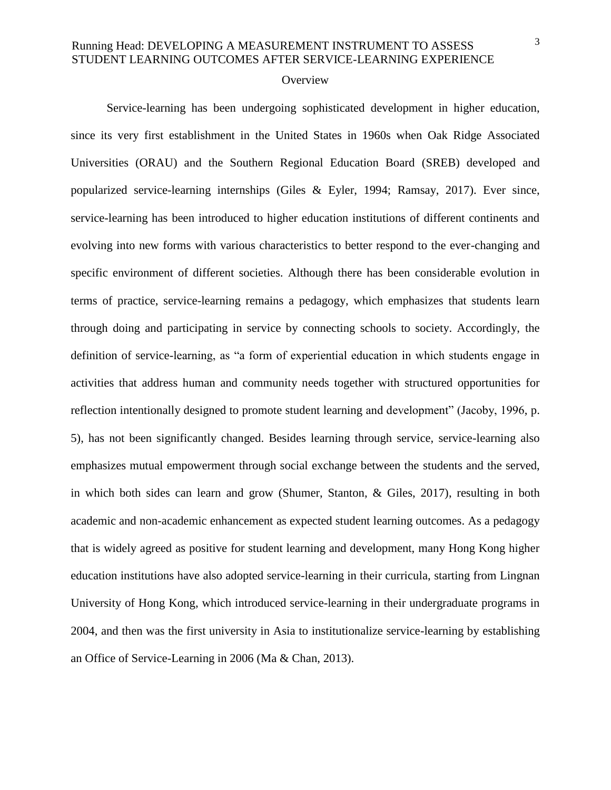### **Overview**

Service-learning has been undergoing sophisticated development in higher education, since its very first establishment in the United States in 1960s when Oak Ridge Associated Universities (ORAU) and the Southern Regional Education Board (SREB) developed and popularized service-learning internships (Giles & Eyler, 1994; Ramsay, 2017). Ever since, service-learning has been introduced to higher education institutions of different continents and evolving into new forms with various characteristics to better respond to the ever-changing and specific environment of different societies. Although there has been considerable evolution in terms of practice, service-learning remains a pedagogy, which emphasizes that students learn through doing and participating in service by connecting schools to society. Accordingly, the definition of service-learning, as "a form of experiential education in which students engage in activities that address human and community needs together with structured opportunities for reflection intentionally designed to promote student learning and development" (Jacoby, 1996, p. 5), has not been significantly changed. Besides learning through service, service-learning also emphasizes mutual empowerment through social exchange between the students and the served, in which both sides can learn and grow (Shumer, Stanton, & Giles, 2017), resulting in both academic and non-academic enhancement as expected student learning outcomes. As a pedagogy that is widely agreed as positive for student learning and development, many Hong Kong higher education institutions have also adopted service-learning in their curricula, starting from Lingnan University of Hong Kong, which introduced service-learning in their undergraduate programs in 2004, and then was the first university in Asia to institutionalize service-learning by establishing an Office of Service-Learning in 2006 (Ma & Chan, 2013).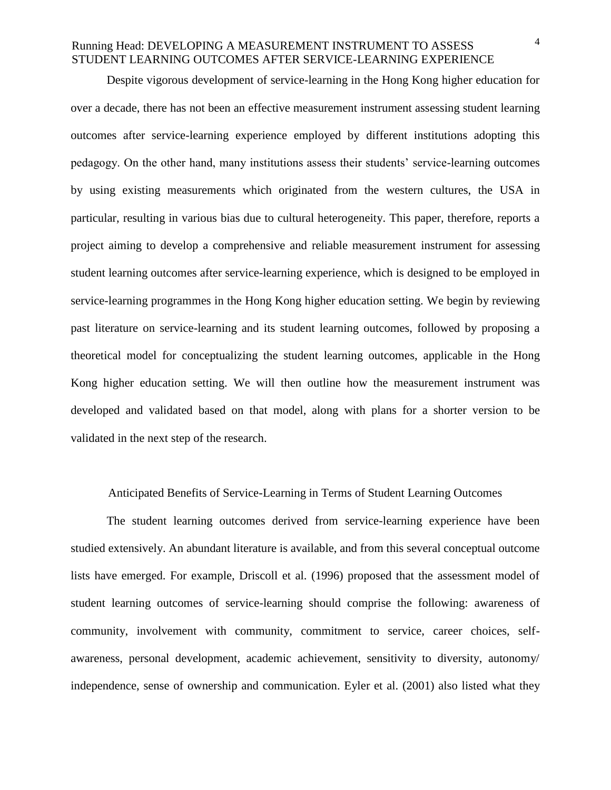Despite vigorous development of service-learning in the Hong Kong higher education for over a decade, there has not been an effective measurement instrument assessing student learning outcomes after service-learning experience employed by different institutions adopting this pedagogy. On the other hand, many institutions assess their students' service-learning outcomes by using existing measurements which originated from the western cultures, the USA in particular, resulting in various bias due to cultural heterogeneity. This paper, therefore, reports a project aiming to develop a comprehensive and reliable measurement instrument for assessing student learning outcomes after service-learning experience, which is designed to be employed in service-learning programmes in the Hong Kong higher education setting. We begin by reviewing past literature on service-learning and its student learning outcomes, followed by proposing a theoretical model for conceptualizing the student learning outcomes, applicable in the Hong Kong higher education setting. We will then outline how the measurement instrument was developed and validated based on that model, along with plans for a shorter version to be validated in the next step of the research.

### Anticipated Benefits of Service-Learning in Terms of Student Learning Outcomes

The student learning outcomes derived from service-learning experience have been studied extensively. An abundant literature is available, and from this several conceptual outcome lists have emerged. For example, Driscoll et al. (1996) proposed that the assessment model of student learning outcomes of service-learning should comprise the following: awareness of community, involvement with community, commitment to service, career choices, selfawareness, personal development, academic achievement, sensitivity to diversity, autonomy/ independence, sense of ownership and communication. Eyler et al. (2001) also listed what they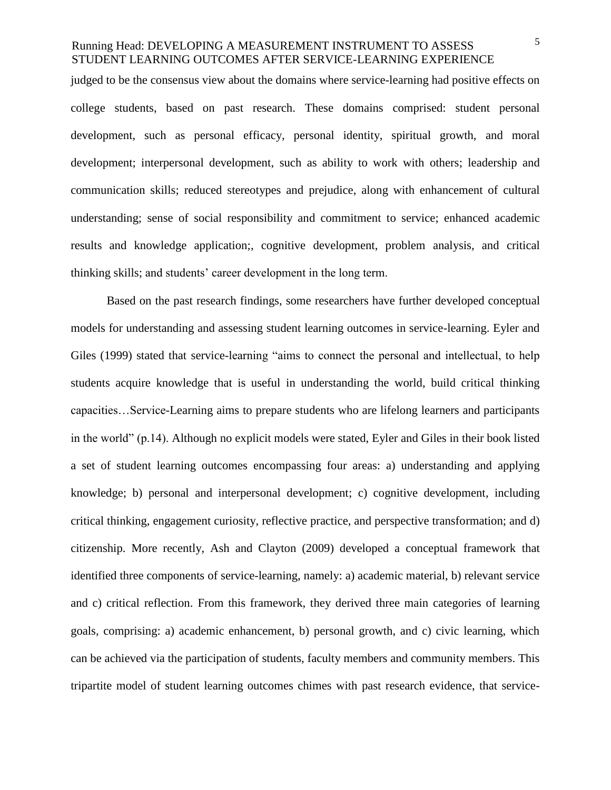judged to be the consensus view about the domains where service-learning had positive effects on college students, based on past research. These domains comprised: student personal development, such as personal efficacy, personal identity, spiritual growth, and moral development; interpersonal development, such as ability to work with others; leadership and communication skills; reduced stereotypes and prejudice, along with enhancement of cultural understanding; sense of social responsibility and commitment to service; enhanced academic results and knowledge application;, cognitive development, problem analysis, and critical thinking skills; and students' career development in the long term.

Based on the past research findings, some researchers have further developed conceptual models for understanding and assessing student learning outcomes in service-learning. Eyler and Giles (1999) stated that service-learning "aims to connect the personal and intellectual, to help students acquire knowledge that is useful in understanding the world, build critical thinking capacities…Service-Learning aims to prepare students who are lifelong learners and participants in the world" (p.14). Although no explicit models were stated, Eyler and Giles in their book listed a set of student learning outcomes encompassing four areas: a) understanding and applying knowledge; b) personal and interpersonal development; c) cognitive development, including critical thinking, engagement curiosity, reflective practice, and perspective transformation; and d) citizenship. More recently, Ash and Clayton (2009) developed a conceptual framework that identified three components of service-learning, namely: a) academic material, b) relevant service and c) critical reflection. From this framework, they derived three main categories of learning goals, comprising: a) academic enhancement, b) personal growth, and c) civic learning, which can be achieved via the participation of students, faculty members and community members. This tripartite model of student learning outcomes chimes with past research evidence, that service-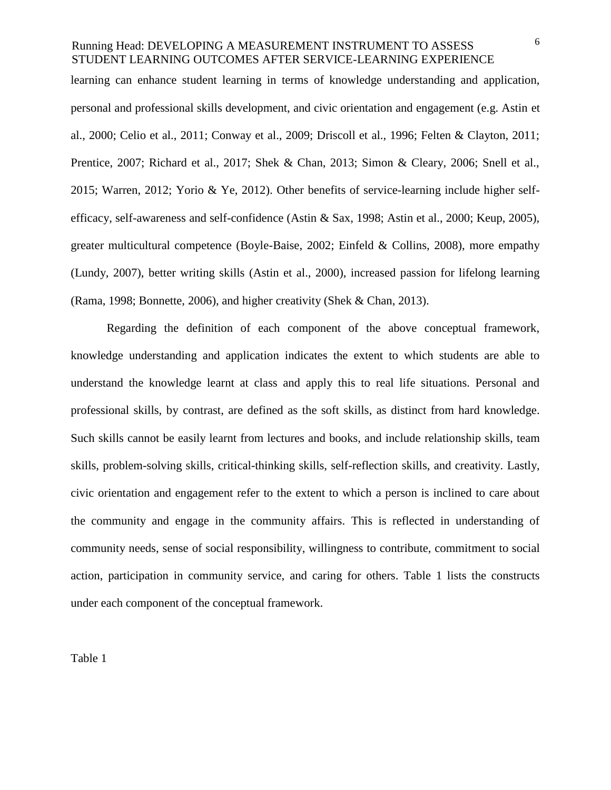learning can enhance student learning in terms of knowledge understanding and application, personal and professional skills development, and civic orientation and engagement (e.g. Astin et al., 2000; Celio et al., 2011; Conway et al., 2009; Driscoll et al., 1996; Felten & Clayton, 2011; Prentice, 2007; Richard et al., 2017; Shek & Chan, 2013; Simon & Cleary, 2006; Snell et al., 2015; Warren, 2012; Yorio & Ye, 2012). Other benefits of service-learning include higher selfefficacy, self-awareness and self-confidence (Astin & Sax, 1998; Astin et al., 2000; Keup, 2005), greater multicultural competence (Boyle-Baise, 2002; Einfeld & Collins, 2008), more empathy (Lundy, 2007), better writing skills (Astin et al., 2000), increased passion for lifelong learning (Rama, 1998; Bonnette, 2006), and higher creativity (Shek & Chan, 2013).

Regarding the definition of each component of the above conceptual framework, knowledge understanding and application indicates the extent to which students are able to understand the knowledge learnt at class and apply this to real life situations. Personal and professional skills, by contrast, are defined as the soft skills, as distinct from hard knowledge. Such skills cannot be easily learnt from lectures and books, and include relationship skills, team skills, problem-solving skills, critical-thinking skills, self-reflection skills, and creativity. Lastly, civic orientation and engagement refer to the extent to which a person is inclined to care about the community and engage in the community affairs. This is reflected in understanding of community needs, sense of social responsibility, willingness to contribute, commitment to social action, participation in community service, and caring for others. Table 1 lists the constructs under each component of the conceptual framework.

Table 1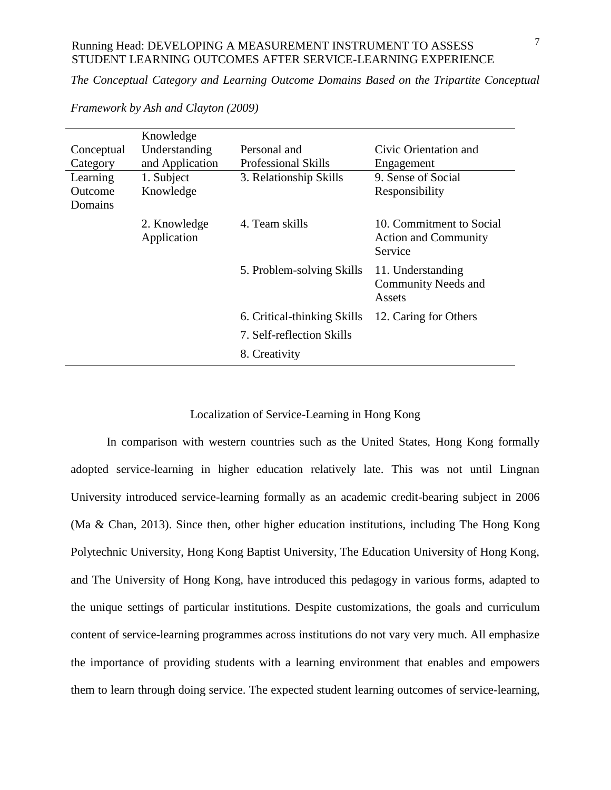*The Conceptual Category and Learning Outcome Domains Based on the Tripartite Conceptual* 

|            | Knowledge                   |                             |                                                                    |
|------------|-----------------------------|-----------------------------|--------------------------------------------------------------------|
| Conceptual | Understanding               | Personal and                | Civic Orientation and                                              |
| Category   | and Application             | <b>Professional Skills</b>  | Engagement                                                         |
| Learning   | 1. Subject                  | 3. Relationship Skills      | 9. Sense of Social                                                 |
| Outcome    | Knowledge                   |                             | Responsibility                                                     |
| Domains    |                             |                             |                                                                    |
|            | 2. Knowledge<br>Application | 4. Team skills              | 10. Commitment to Social<br><b>Action and Community</b><br>Service |
|            |                             | 5. Problem-solving Skills   | 11. Understanding<br><b>Community Needs and</b><br>Assets          |
|            |                             | 6. Critical-thinking Skills | 12. Caring for Others                                              |
|            |                             | 7. Self-reflection Skills   |                                                                    |
|            |                             | 8. Creativity               |                                                                    |

*Framework by Ash and Clayton (2009)*

### Localization of Service-Learning in Hong Kong

In comparison with western countries such as the United States, Hong Kong formally adopted service-learning in higher education relatively late. This was not until Lingnan University introduced service-learning formally as an academic credit-bearing subject in 2006 (Ma & Chan, 2013). Since then, other higher education institutions, including The Hong Kong Polytechnic University, Hong Kong Baptist University, The Education University of Hong Kong, and The University of Hong Kong, have introduced this pedagogy in various forms, adapted to the unique settings of particular institutions. Despite customizations, the goals and curriculum content of service-learning programmes across institutions do not vary very much. All emphasize the importance of providing students with a learning environment that enables and empowers them to learn through doing service. The expected student learning outcomes of service-learning,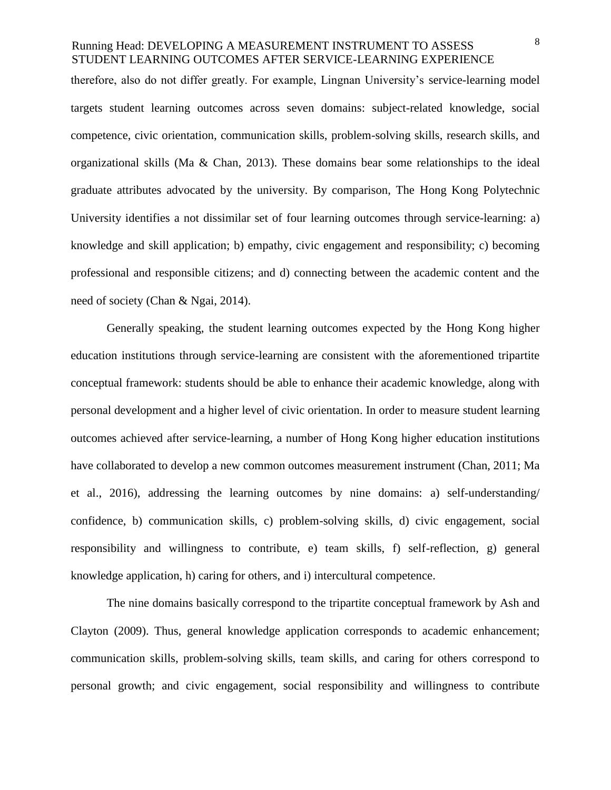therefore, also do not differ greatly. For example, Lingnan University's service-learning model targets student learning outcomes across seven domains: subject-related knowledge, social competence, civic orientation, communication skills, problem-solving skills, research skills, and organizational skills (Ma & Chan, 2013). These domains bear some relationships to the ideal graduate attributes advocated by the university. By comparison, The Hong Kong Polytechnic University identifies a not dissimilar set of four learning outcomes through service-learning: a) knowledge and skill application; b) empathy, civic engagement and responsibility; c) becoming professional and responsible citizens; and d) connecting between the academic content and the need of society (Chan & Ngai, 2014).

Generally speaking, the student learning outcomes expected by the Hong Kong higher education institutions through service-learning are consistent with the aforementioned tripartite conceptual framework: students should be able to enhance their academic knowledge, along with personal development and a higher level of civic orientation. In order to measure student learning outcomes achieved after service-learning, a number of Hong Kong higher education institutions have collaborated to develop a new common outcomes measurement instrument (Chan, 2011; Ma et al., 2016), addressing the learning outcomes by nine domains: a) self-understanding/ confidence, b) communication skills, c) problem-solving skills, d) civic engagement, social responsibility and willingness to contribute, e) team skills, f) self-reflection, g) general knowledge application, h) caring for others, and i) intercultural competence.

The nine domains basically correspond to the tripartite conceptual framework by Ash and Clayton (2009). Thus, general knowledge application corresponds to academic enhancement; communication skills, problem-solving skills, team skills, and caring for others correspond to personal growth; and civic engagement, social responsibility and willingness to contribute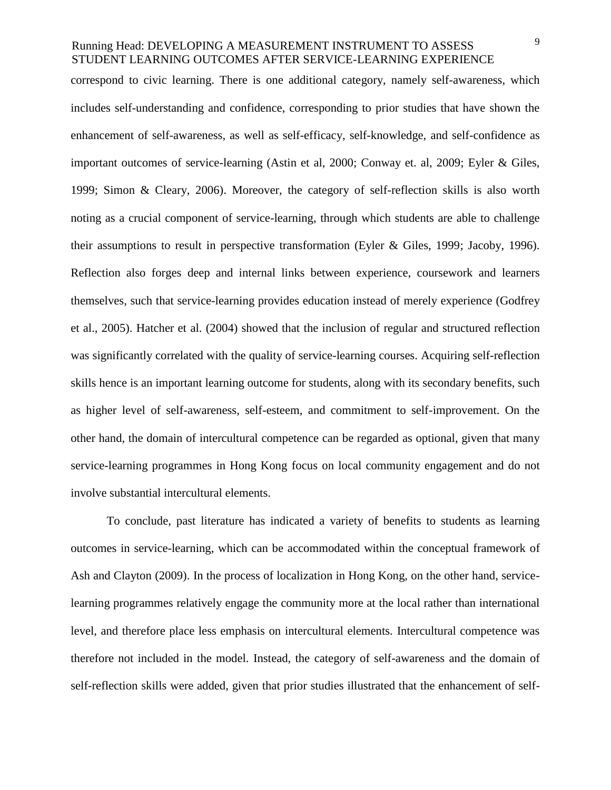correspond to civic learning. There is one additional category, namely self-awareness, which includes self-understanding and confidence, corresponding to prior studies that have shown the enhancement of self-awareness, as well as self-efficacy, self-knowledge, and self-confidence as important outcomes of service-learning (Astin et al, 2000; Conway et. al, 2009; Eyler & Giles, 1999; Simon & Cleary, 2006). Moreover, the category of self-reflection skills is also worth noting as a crucial component of service-learning, through which students are able to challenge their assumptions to result in perspective transformation (Eyler & Giles, 1999; Jacoby, 1996). Reflection also forges deep and internal links between experience, coursework and learners themselves, such that service-learning provides education instead of merely experience (Godfrey et al., 2005). Hatcher et al. (2004) showed that the inclusion of regular and structured reflection was significantly correlated with the quality of service-learning courses. Acquiring self-reflection skills hence is an important learning outcome for students, along with its secondary benefits, such as higher level of self-awareness, self-esteem, and commitment to self-improvement. On the other hand, the domain of intercultural competence can be regarded as optional, given that many service-learning programmes in Hong Kong focus on local community engagement and do not involve substantial intercultural elements.

To conclude, past literature has indicated a variety of benefits to students as learning outcomes in service-learning, which can be accommodated within the conceptual framework of Ash and Clayton (2009). In the process of localization in Hong Kong, on the other hand, servicelearning programmes relatively engage the community more at the local rather than international level, and therefore place less emphasis on intercultural elements. Intercultural competence was therefore not included in the model. Instead, the category of self-awareness and the domain of self-reflection skills were added, given that prior studies illustrated that the enhancement of self-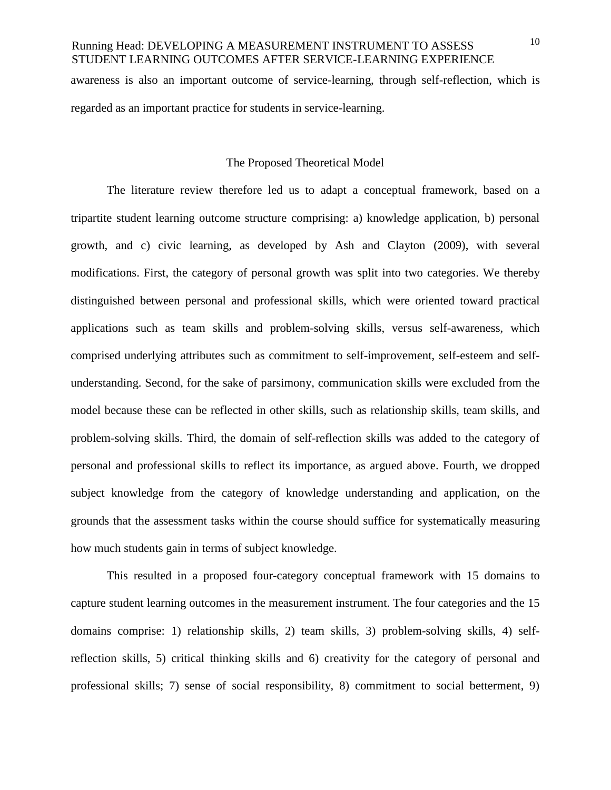awareness is also an important outcome of service-learning, through self-reflection, which is regarded as an important practice for students in service-learning.

#### The Proposed Theoretical Model

The literature review therefore led us to adapt a conceptual framework, based on a tripartite student learning outcome structure comprising: a) knowledge application, b) personal growth, and c) civic learning, as developed by Ash and Clayton (2009), with several modifications. First, the category of personal growth was split into two categories. We thereby distinguished between personal and professional skills, which were oriented toward practical applications such as team skills and problem-solving skills, versus self-awareness, which comprised underlying attributes such as commitment to self-improvement, self-esteem and selfunderstanding. Second, for the sake of parsimony, communication skills were excluded from the model because these can be reflected in other skills, such as relationship skills, team skills, and problem-solving skills. Third, the domain of self-reflection skills was added to the category of personal and professional skills to reflect its importance, as argued above. Fourth, we dropped subject knowledge from the category of knowledge understanding and application, on the grounds that the assessment tasks within the course should suffice for systematically measuring how much students gain in terms of subject knowledge.

This resulted in a proposed four-category conceptual framework with 15 domains to capture student learning outcomes in the measurement instrument. The four categories and the 15 domains comprise: 1) relationship skills, 2) team skills, 3) problem-solving skills, 4) selfreflection skills, 5) critical thinking skills and 6) creativity for the category of personal and professional skills; 7) sense of social responsibility, 8) commitment to social betterment, 9)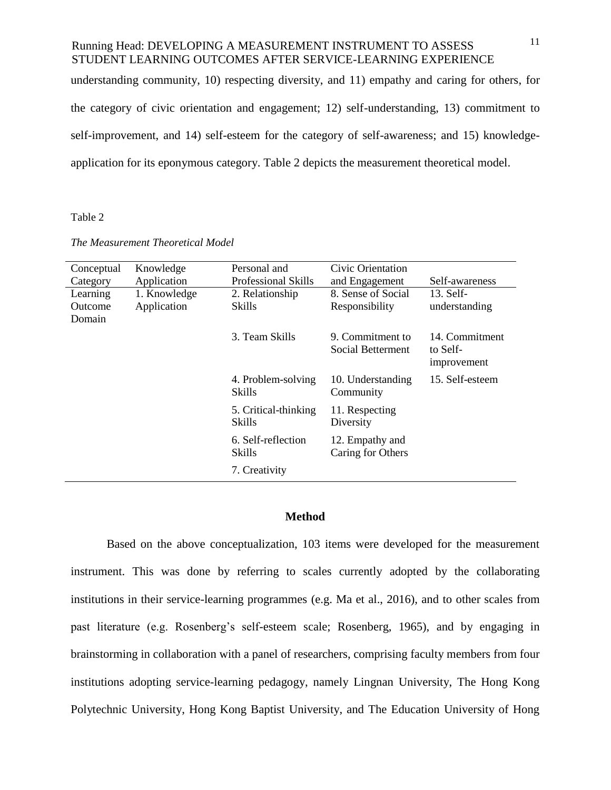understanding community, 10) respecting diversity, and 11) empathy and caring for others, for the category of civic orientation and engagement; 12) self-understanding, 13) commitment to self-improvement, and 14) self-esteem for the category of self-awareness; and 15) knowledgeapplication for its eponymous category. Table 2 depicts the measurement theoretical model.

#### Table 2

| Conceptual                    | Knowledge                   | Personal and                   | Civic Orientation                            |                                           |
|-------------------------------|-----------------------------|--------------------------------|----------------------------------------------|-------------------------------------------|
| Category                      | Application                 | <b>Professional Skills</b>     | and Engagement                               | Self-awareness                            |
| Learning<br>Outcome<br>Domain | 1. Knowledge<br>Application | 2. Relationship<br>Skills      | 8. Sense of Social<br>Responsibility         | $13.$ Self-<br>understanding              |
|                               |                             | 3. Team Skills                 | 9. Commitment to<br><b>Social Betterment</b> | 14. Commitment<br>to Self-<br>improvement |
|                               |                             | 4. Problem-solving<br>Skills   | 10. Understanding<br>Community               | 15. Self-esteem                           |
|                               |                             | 5. Critical-thinking<br>Skills | 11. Respecting<br>Diversity                  |                                           |
|                               |                             | 6. Self-reflection<br>Skills   | 12. Empathy and<br>Caring for Others         |                                           |
|                               |                             | 7. Creativity                  |                                              |                                           |

*The Measurement Theoretical Model*

### **Method**

Based on the above conceptualization, 103 items were developed for the measurement instrument. This was done by referring to scales currently adopted by the collaborating institutions in their service-learning programmes (e.g. Ma et al., 2016), and to other scales from past literature (e.g. Rosenberg's self-esteem scale; Rosenberg, 1965), and by engaging in brainstorming in collaboration with a panel of researchers, comprising faculty members from four institutions adopting service-learning pedagogy, namely Lingnan University, The Hong Kong Polytechnic University, Hong Kong Baptist University, and The Education University of Hong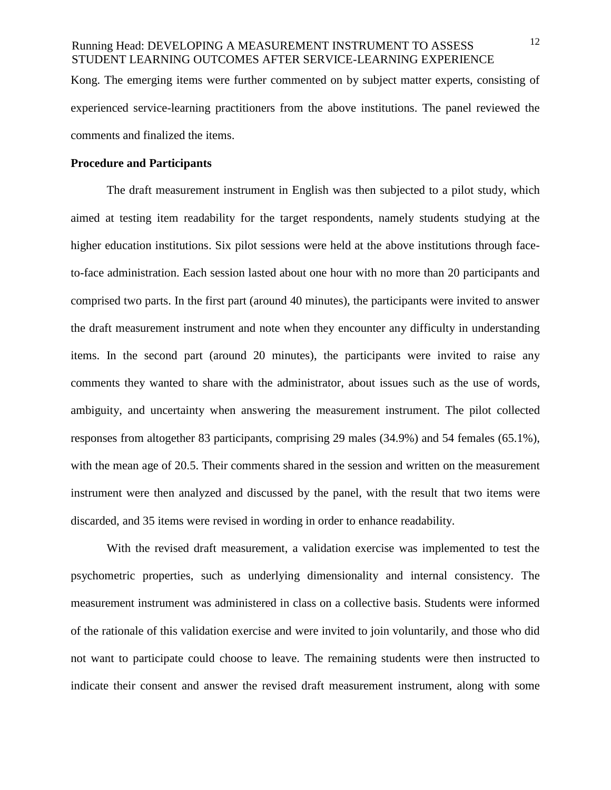Kong. The emerging items were further commented on by subject matter experts, consisting of experienced service-learning practitioners from the above institutions. The panel reviewed the comments and finalized the items.

### **Procedure and Participants**

The draft measurement instrument in English was then subjected to a pilot study, which aimed at testing item readability for the target respondents, namely students studying at the higher education institutions. Six pilot sessions were held at the above institutions through faceto-face administration. Each session lasted about one hour with no more than 20 participants and comprised two parts. In the first part (around 40 minutes), the participants were invited to answer the draft measurement instrument and note when they encounter any difficulty in understanding items. In the second part (around 20 minutes), the participants were invited to raise any comments they wanted to share with the administrator, about issues such as the use of words, ambiguity, and uncertainty when answering the measurement instrument. The pilot collected responses from altogether 83 participants, comprising 29 males (34.9%) and 54 females (65.1%), with the mean age of 20.5. Their comments shared in the session and written on the measurement instrument were then analyzed and discussed by the panel, with the result that two items were discarded, and 35 items were revised in wording in order to enhance readability.

With the revised draft measurement, a validation exercise was implemented to test the psychometric properties, such as underlying dimensionality and internal consistency. The measurement instrument was administered in class on a collective basis. Students were informed of the rationale of this validation exercise and were invited to join voluntarily, and those who did not want to participate could choose to leave. The remaining students were then instructed to indicate their consent and answer the revised draft measurement instrument, along with some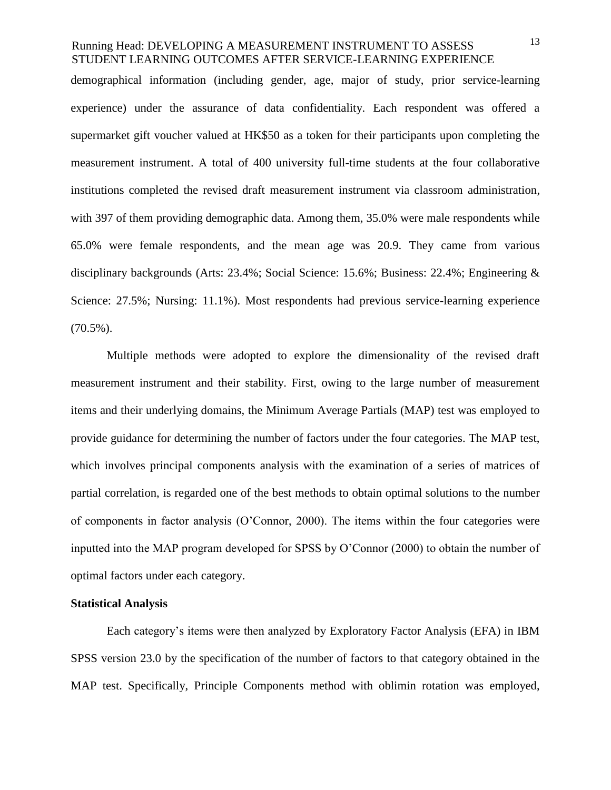demographical information (including gender, age, major of study, prior service-learning experience) under the assurance of data confidentiality. Each respondent was offered a supermarket gift voucher valued at HK\$50 as a token for their participants upon completing the measurement instrument. A total of 400 university full-time students at the four collaborative institutions completed the revised draft measurement instrument via classroom administration, with 397 of them providing demographic data. Among them, 35.0% were male respondents while 65.0% were female respondents, and the mean age was 20.9. They came from various disciplinary backgrounds (Arts: 23.4%; Social Science: 15.6%; Business: 22.4%; Engineering & Science: 27.5%; Nursing: 11.1%). Most respondents had previous service-learning experience  $(70.5\%)$ .

Multiple methods were adopted to explore the dimensionality of the revised draft measurement instrument and their stability. First, owing to the large number of measurement items and their underlying domains, the Minimum Average Partials (MAP) test was employed to provide guidance for determining the number of factors under the four categories. The MAP test, which involves principal components analysis with the examination of a series of matrices of partial correlation, is regarded one of the best methods to obtain optimal solutions to the number of components in factor analysis (O'Connor, 2000). The items within the four categories were inputted into the MAP program developed for SPSS by O'Connor (2000) to obtain the number of optimal factors under each category.

### **Statistical Analysis**

Each category's items were then analyzed by Exploratory Factor Analysis (EFA) in IBM SPSS version 23.0 by the specification of the number of factors to that category obtained in the MAP test. Specifically, Principle Components method with oblimin rotation was employed,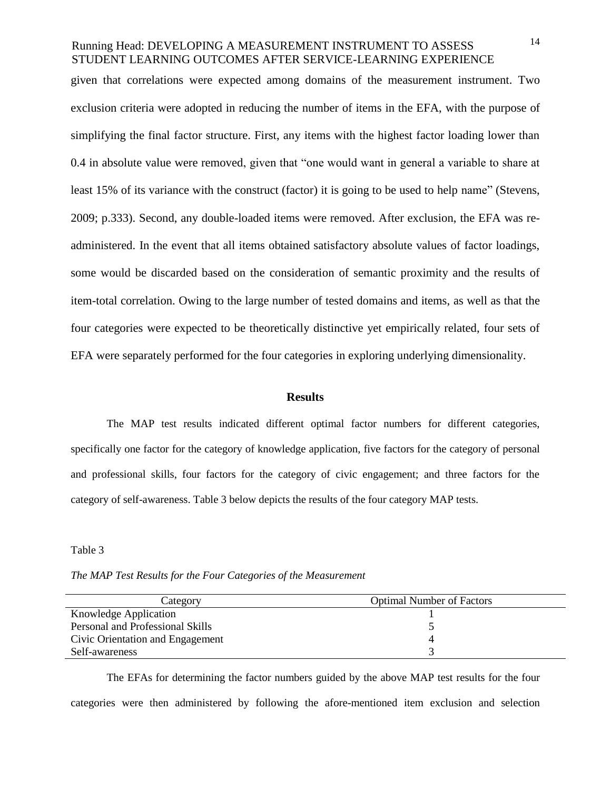given that correlations were expected among domains of the measurement instrument. Two exclusion criteria were adopted in reducing the number of items in the EFA, with the purpose of simplifying the final factor structure. First, any items with the highest factor loading lower than 0.4 in absolute value were removed, given that "one would want in general a variable to share at least 15% of its variance with the construct (factor) it is going to be used to help name" (Stevens, 2009; p.333). Second, any double-loaded items were removed. After exclusion, the EFA was readministered. In the event that all items obtained satisfactory absolute values of factor loadings, some would be discarded based on the consideration of semantic proximity and the results of item-total correlation. Owing to the large number of tested domains and items, as well as that the four categories were expected to be theoretically distinctive yet empirically related, four sets of EFA were separately performed for the four categories in exploring underlying dimensionality.

#### **Results**

The MAP test results indicated different optimal factor numbers for different categories, specifically one factor for the category of knowledge application, five factors for the category of personal and professional skills, four factors for the category of civic engagement; and three factors for the category of self-awareness. Table 3 below depicts the results of the four category MAP tests.

#### Table 3

*The MAP Test Results for the Four Categories of the Measurement*

| Category                         | <b>Optimal Number of Factors</b> |
|----------------------------------|----------------------------------|
| Knowledge Application            |                                  |
| Personal and Professional Skills |                                  |
| Civic Orientation and Engagement |                                  |
| Self-awareness                   |                                  |

The EFAs for determining the factor numbers guided by the above MAP test results for the four categories were then administered by following the afore-mentioned item exclusion and selection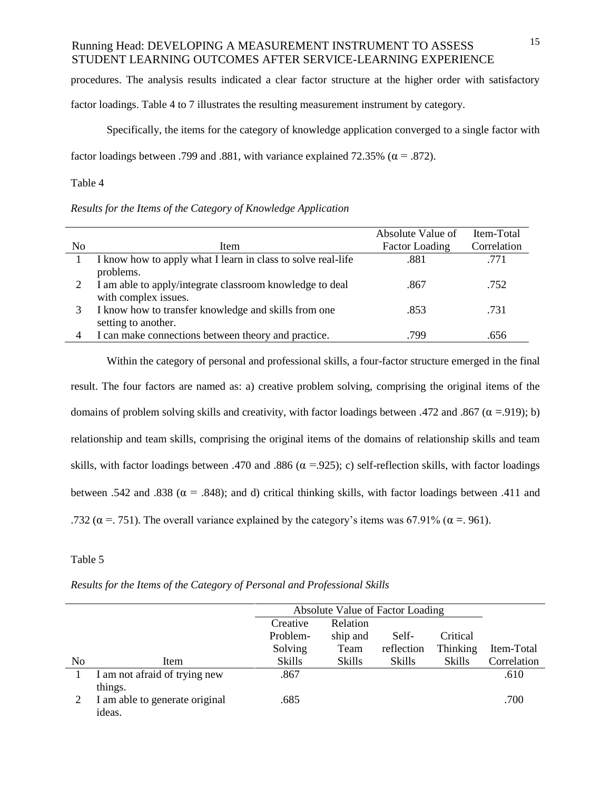procedures. The analysis results indicated a clear factor structure at the higher order with satisfactory

factor loadings. Table 4 to 7 illustrates the resulting measurement instrument by category.

Specifically, the items for the category of knowledge application converged to a single factor with factor loadings between .799 and .881, with variance explained 72.35% ( $\alpha$  = .872).

### Table 4

*Results for the Items of the Category of Knowledge Application*

|                |                                                                                  | Absolute Value of     | Item-Total  |
|----------------|----------------------------------------------------------------------------------|-----------------------|-------------|
| N <sub>o</sub> | Item                                                                             | <b>Factor Loading</b> | Correlation |
|                | I know how to apply what I learn in class to solve real-life<br>problems.        | .881                  | .771        |
|                | I am able to apply/integrate classroom knowledge to deal<br>with complex issues. | .867                  | .752        |
|                | I know how to transfer knowledge and skills from one<br>setting to another.      | .853                  | .731        |
| $\overline{4}$ | I can make connections between theory and practice.                              | .799                  | .656        |

Within the category of personal and professional skills, a four-factor structure emerged in the final result. The four factors are named as: a) creative problem solving, comprising the original items of the domains of problem solving skills and creativity, with factor loadings between .472 and .867 ( $\alpha$  =.919); b) relationship and team skills, comprising the original items of the domains of relationship skills and team skills, with factor loadings between .470 and .886 ( $\alpha$  =.925); c) self-reflection skills, with factor loadings between .542 and .838 ( $\alpha$  = .848); and d) critical thinking skills, with factor loadings between .411 and .732 ( $\alpha$  = .751). The overall variance explained by the category's items was 67.91% ( $\alpha$  = .961).

#### Table 5

|                |                                |          | Absolute Value of Factor Loading |               |          |             |
|----------------|--------------------------------|----------|----------------------------------|---------------|----------|-------------|
|                |                                | Creative | Relation                         |               |          |             |
|                |                                | Problem- | ship and                         | Self-         | Critical |             |
|                |                                | Solving  | Team                             | reflection    | Thinking | Item-Total  |
| N <sub>0</sub> | Item                           | Skills   | Skills                           | <b>Skills</b> | Skills   | Correlation |
|                | I am not afraid of trying new  | .867     |                                  |               |          | .610        |
|                | things.                        |          |                                  |               |          |             |
|                | I am able to generate original | .685     |                                  |               |          | .700        |
|                | ideas.                         |          |                                  |               |          |             |

*Results for the Items of the Category of Personal and Professional Skills*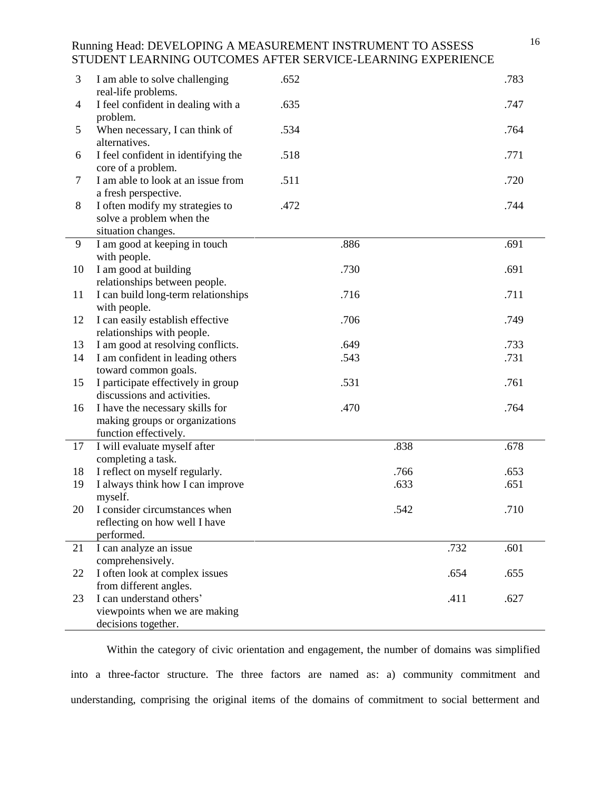| I feel confident in dealing with a<br>.635<br>.747<br>$\overline{4}$<br>problem.<br>When necessary, I can think of<br>.534<br>5<br>.764<br>alternatives.<br>I feel confident in identifying the<br>.518<br>.771<br>6<br>core of a problem.<br>I am able to look at an issue from<br>.511<br>7<br>.720<br>a fresh perspective.<br>I often modify my strategies to<br>8<br>.472<br>.744<br>solve a problem when the<br>situation changes.<br>I am good at keeping in touch<br>.886<br>9<br>.691<br>with people.<br>I am good at building<br>.730<br>10<br>.691<br>relationships between people.<br>I can build long-term relationships<br>.716<br>.711<br>11<br>with people.<br>I can easily establish effective<br>.706<br>12<br>.749<br>relationships with people.<br>I am good at resolving conflicts.<br>.649<br>13<br>.733<br>.543<br>.731<br>14<br>I am confident in leading others<br>toward common goals.<br>I participate effectively in group<br>.531<br>15<br>.761<br>discussions and activities.<br>I have the necessary skills for<br>.470<br>.764<br>16<br>making groups or organizations<br>function effectively.<br>I will evaluate myself after<br>.838<br>.678<br>17<br>completing a task.<br>I reflect on myself regularly.<br>18<br>.766<br>.653<br>I always think how I can improve<br>.651<br>19<br>.633<br>myself.<br>20<br>I consider circumstances when<br>.542<br>.710<br>reflecting on how well I have<br>performed.<br>I can analyze an issue<br>21<br>.732<br>.601<br>comprehensively.<br>I often look at complex issues<br>22<br>.654<br>.655<br>from different angles.<br>I can understand others'<br>23<br>.411<br>.627 | 3 | I am able to solve challenging<br>real-life problems. | .652 |  | .783 |
|-------------------------------------------------------------------------------------------------------------------------------------------------------------------------------------------------------------------------------------------------------------------------------------------------------------------------------------------------------------------------------------------------------------------------------------------------------------------------------------------------------------------------------------------------------------------------------------------------------------------------------------------------------------------------------------------------------------------------------------------------------------------------------------------------------------------------------------------------------------------------------------------------------------------------------------------------------------------------------------------------------------------------------------------------------------------------------------------------------------------------------------------------------------------------------------------------------------------------------------------------------------------------------------------------------------------------------------------------------------------------------------------------------------------------------------------------------------------------------------------------------------------------------------------------------------------------------------------------------------------------------------------------------|---|-------------------------------------------------------|------|--|------|
|                                                                                                                                                                                                                                                                                                                                                                                                                                                                                                                                                                                                                                                                                                                                                                                                                                                                                                                                                                                                                                                                                                                                                                                                                                                                                                                                                                                                                                                                                                                                                                                                                                                       |   |                                                       |      |  |      |
|                                                                                                                                                                                                                                                                                                                                                                                                                                                                                                                                                                                                                                                                                                                                                                                                                                                                                                                                                                                                                                                                                                                                                                                                                                                                                                                                                                                                                                                                                                                                                                                                                                                       |   |                                                       |      |  |      |
|                                                                                                                                                                                                                                                                                                                                                                                                                                                                                                                                                                                                                                                                                                                                                                                                                                                                                                                                                                                                                                                                                                                                                                                                                                                                                                                                                                                                                                                                                                                                                                                                                                                       |   |                                                       |      |  |      |
|                                                                                                                                                                                                                                                                                                                                                                                                                                                                                                                                                                                                                                                                                                                                                                                                                                                                                                                                                                                                                                                                                                                                                                                                                                                                                                                                                                                                                                                                                                                                                                                                                                                       |   |                                                       |      |  |      |
|                                                                                                                                                                                                                                                                                                                                                                                                                                                                                                                                                                                                                                                                                                                                                                                                                                                                                                                                                                                                                                                                                                                                                                                                                                                                                                                                                                                                                                                                                                                                                                                                                                                       |   |                                                       |      |  |      |
|                                                                                                                                                                                                                                                                                                                                                                                                                                                                                                                                                                                                                                                                                                                                                                                                                                                                                                                                                                                                                                                                                                                                                                                                                                                                                                                                                                                                                                                                                                                                                                                                                                                       |   |                                                       |      |  |      |
|                                                                                                                                                                                                                                                                                                                                                                                                                                                                                                                                                                                                                                                                                                                                                                                                                                                                                                                                                                                                                                                                                                                                                                                                                                                                                                                                                                                                                                                                                                                                                                                                                                                       |   |                                                       |      |  |      |
|                                                                                                                                                                                                                                                                                                                                                                                                                                                                                                                                                                                                                                                                                                                                                                                                                                                                                                                                                                                                                                                                                                                                                                                                                                                                                                                                                                                                                                                                                                                                                                                                                                                       |   |                                                       |      |  |      |
|                                                                                                                                                                                                                                                                                                                                                                                                                                                                                                                                                                                                                                                                                                                                                                                                                                                                                                                                                                                                                                                                                                                                                                                                                                                                                                                                                                                                                                                                                                                                                                                                                                                       |   |                                                       |      |  |      |
|                                                                                                                                                                                                                                                                                                                                                                                                                                                                                                                                                                                                                                                                                                                                                                                                                                                                                                                                                                                                                                                                                                                                                                                                                                                                                                                                                                                                                                                                                                                                                                                                                                                       |   |                                                       |      |  |      |
|                                                                                                                                                                                                                                                                                                                                                                                                                                                                                                                                                                                                                                                                                                                                                                                                                                                                                                                                                                                                                                                                                                                                                                                                                                                                                                                                                                                                                                                                                                                                                                                                                                                       |   |                                                       |      |  |      |
|                                                                                                                                                                                                                                                                                                                                                                                                                                                                                                                                                                                                                                                                                                                                                                                                                                                                                                                                                                                                                                                                                                                                                                                                                                                                                                                                                                                                                                                                                                                                                                                                                                                       |   |                                                       |      |  |      |
|                                                                                                                                                                                                                                                                                                                                                                                                                                                                                                                                                                                                                                                                                                                                                                                                                                                                                                                                                                                                                                                                                                                                                                                                                                                                                                                                                                                                                                                                                                                                                                                                                                                       |   |                                                       |      |  |      |
|                                                                                                                                                                                                                                                                                                                                                                                                                                                                                                                                                                                                                                                                                                                                                                                                                                                                                                                                                                                                                                                                                                                                                                                                                                                                                                                                                                                                                                                                                                                                                                                                                                                       |   |                                                       |      |  |      |
|                                                                                                                                                                                                                                                                                                                                                                                                                                                                                                                                                                                                                                                                                                                                                                                                                                                                                                                                                                                                                                                                                                                                                                                                                                                                                                                                                                                                                                                                                                                                                                                                                                                       |   |                                                       |      |  |      |
|                                                                                                                                                                                                                                                                                                                                                                                                                                                                                                                                                                                                                                                                                                                                                                                                                                                                                                                                                                                                                                                                                                                                                                                                                                                                                                                                                                                                                                                                                                                                                                                                                                                       |   |                                                       |      |  |      |
|                                                                                                                                                                                                                                                                                                                                                                                                                                                                                                                                                                                                                                                                                                                                                                                                                                                                                                                                                                                                                                                                                                                                                                                                                                                                                                                                                                                                                                                                                                                                                                                                                                                       |   |                                                       |      |  |      |
|                                                                                                                                                                                                                                                                                                                                                                                                                                                                                                                                                                                                                                                                                                                                                                                                                                                                                                                                                                                                                                                                                                                                                                                                                                                                                                                                                                                                                                                                                                                                                                                                                                                       |   |                                                       |      |  |      |
|                                                                                                                                                                                                                                                                                                                                                                                                                                                                                                                                                                                                                                                                                                                                                                                                                                                                                                                                                                                                                                                                                                                                                                                                                                                                                                                                                                                                                                                                                                                                                                                                                                                       |   |                                                       |      |  |      |
|                                                                                                                                                                                                                                                                                                                                                                                                                                                                                                                                                                                                                                                                                                                                                                                                                                                                                                                                                                                                                                                                                                                                                                                                                                                                                                                                                                                                                                                                                                                                                                                                                                                       |   |                                                       |      |  |      |
|                                                                                                                                                                                                                                                                                                                                                                                                                                                                                                                                                                                                                                                                                                                                                                                                                                                                                                                                                                                                                                                                                                                                                                                                                                                                                                                                                                                                                                                                                                                                                                                                                                                       |   |                                                       |      |  |      |
|                                                                                                                                                                                                                                                                                                                                                                                                                                                                                                                                                                                                                                                                                                                                                                                                                                                                                                                                                                                                                                                                                                                                                                                                                                                                                                                                                                                                                                                                                                                                                                                                                                                       |   |                                                       |      |  |      |
|                                                                                                                                                                                                                                                                                                                                                                                                                                                                                                                                                                                                                                                                                                                                                                                                                                                                                                                                                                                                                                                                                                                                                                                                                                                                                                                                                                                                                                                                                                                                                                                                                                                       |   |                                                       |      |  |      |
|                                                                                                                                                                                                                                                                                                                                                                                                                                                                                                                                                                                                                                                                                                                                                                                                                                                                                                                                                                                                                                                                                                                                                                                                                                                                                                                                                                                                                                                                                                                                                                                                                                                       |   |                                                       |      |  |      |
|                                                                                                                                                                                                                                                                                                                                                                                                                                                                                                                                                                                                                                                                                                                                                                                                                                                                                                                                                                                                                                                                                                                                                                                                                                                                                                                                                                                                                                                                                                                                                                                                                                                       |   |                                                       |      |  |      |
|                                                                                                                                                                                                                                                                                                                                                                                                                                                                                                                                                                                                                                                                                                                                                                                                                                                                                                                                                                                                                                                                                                                                                                                                                                                                                                                                                                                                                                                                                                                                                                                                                                                       |   |                                                       |      |  |      |
|                                                                                                                                                                                                                                                                                                                                                                                                                                                                                                                                                                                                                                                                                                                                                                                                                                                                                                                                                                                                                                                                                                                                                                                                                                                                                                                                                                                                                                                                                                                                                                                                                                                       |   |                                                       |      |  |      |
|                                                                                                                                                                                                                                                                                                                                                                                                                                                                                                                                                                                                                                                                                                                                                                                                                                                                                                                                                                                                                                                                                                                                                                                                                                                                                                                                                                                                                                                                                                                                                                                                                                                       |   |                                                       |      |  |      |
|                                                                                                                                                                                                                                                                                                                                                                                                                                                                                                                                                                                                                                                                                                                                                                                                                                                                                                                                                                                                                                                                                                                                                                                                                                                                                                                                                                                                                                                                                                                                                                                                                                                       |   |                                                       |      |  |      |
|                                                                                                                                                                                                                                                                                                                                                                                                                                                                                                                                                                                                                                                                                                                                                                                                                                                                                                                                                                                                                                                                                                                                                                                                                                                                                                                                                                                                                                                                                                                                                                                                                                                       |   |                                                       |      |  |      |
|                                                                                                                                                                                                                                                                                                                                                                                                                                                                                                                                                                                                                                                                                                                                                                                                                                                                                                                                                                                                                                                                                                                                                                                                                                                                                                                                                                                                                                                                                                                                                                                                                                                       |   |                                                       |      |  |      |
|                                                                                                                                                                                                                                                                                                                                                                                                                                                                                                                                                                                                                                                                                                                                                                                                                                                                                                                                                                                                                                                                                                                                                                                                                                                                                                                                                                                                                                                                                                                                                                                                                                                       |   |                                                       |      |  |      |
|                                                                                                                                                                                                                                                                                                                                                                                                                                                                                                                                                                                                                                                                                                                                                                                                                                                                                                                                                                                                                                                                                                                                                                                                                                                                                                                                                                                                                                                                                                                                                                                                                                                       |   |                                                       |      |  |      |
|                                                                                                                                                                                                                                                                                                                                                                                                                                                                                                                                                                                                                                                                                                                                                                                                                                                                                                                                                                                                                                                                                                                                                                                                                                                                                                                                                                                                                                                                                                                                                                                                                                                       |   | viewpoints when we are making                         |      |  |      |
| decisions together.                                                                                                                                                                                                                                                                                                                                                                                                                                                                                                                                                                                                                                                                                                                                                                                                                                                                                                                                                                                                                                                                                                                                                                                                                                                                                                                                                                                                                                                                                                                                                                                                                                   |   |                                                       |      |  |      |

Within the category of civic orientation and engagement, the number of domains was simplified into a three-factor structure. The three factors are named as: a) community commitment and understanding, comprising the original items of the domains of commitment to social betterment and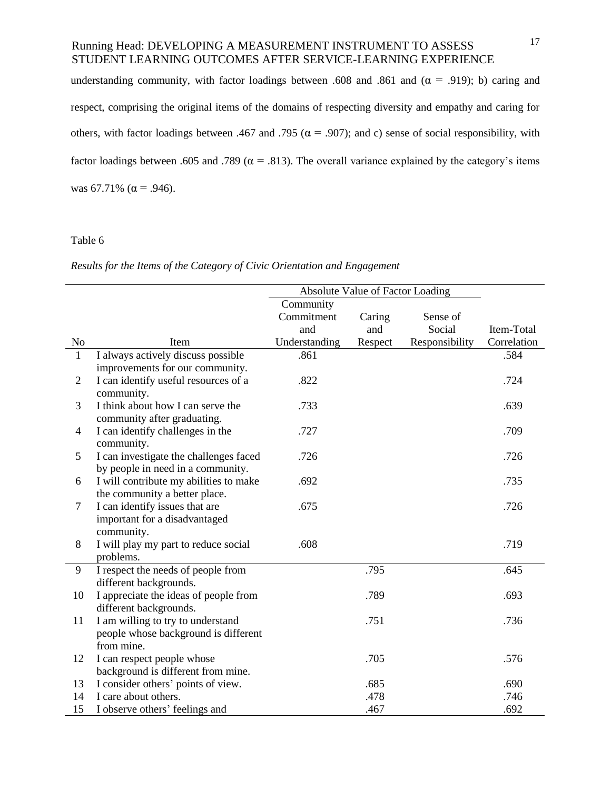understanding community, with factor loadings between .608 and .861 and ( $\alpha$  = .919); b) caring and respect, comprising the original items of the domains of respecting diversity and empathy and caring for others, with factor loadings between .467 and .795 ( $\alpha$  = .907); and c) sense of social responsibility, with factor loadings between .605 and .789 ( $\alpha$  = .813). The overall variance explained by the category's items was 67.71% ( $\alpha$  = .946).

### Table 6

*Results for the Items of the Category of Civic Orientation and Engagement*

|                |                                        | Absolute Value of Factor Loading |         |                |             |
|----------------|----------------------------------------|----------------------------------|---------|----------------|-------------|
|                |                                        | Community                        |         |                |             |
|                |                                        | Commitment                       | Caring  | Sense of       |             |
|                |                                        | and                              | and     | Social         | Item-Total  |
| N <sub>0</sub> | Item                                   | Understanding                    | Respect | Responsibility | Correlation |
| $\mathbf{1}$   | I always actively discuss possible     | .861                             |         |                | .584        |
|                | improvements for our community.        |                                  |         |                |             |
| 2              | I can identify useful resources of a   | .822                             |         |                | .724        |
|                | community.                             |                                  |         |                |             |
| 3              | I think about how I can serve the      | .733                             |         |                | .639        |
|                | community after graduating.            |                                  |         |                |             |
| 4              | I can identify challenges in the       | .727                             |         |                | .709        |
|                | community.                             |                                  |         |                |             |
| 5              | I can investigate the challenges faced | .726                             |         |                | .726        |
|                | by people in need in a community.      |                                  |         |                |             |
| 6              | I will contribute my abilities to make | .692                             |         |                | .735        |
|                | the community a better place.          |                                  |         |                |             |
| $\overline{7}$ | I can identify issues that are         | .675                             |         |                | .726        |
|                | important for a disadvantaged          |                                  |         |                |             |
|                | community.                             |                                  |         |                |             |
| 8              | I will play my part to reduce social   | .608                             |         |                | .719        |
|                | problems.                              |                                  |         |                |             |
| 9              | I respect the needs of people from     |                                  | .795    |                | .645        |
|                | different backgrounds.                 |                                  |         |                |             |
| 10             | I appreciate the ideas of people from  |                                  | .789    |                | .693        |
|                | different backgrounds.                 |                                  |         |                |             |
| 11             | I am willing to try to understand      |                                  | .751    |                | .736        |
|                | people whose background is different   |                                  |         |                |             |
|                | from mine.                             |                                  |         |                |             |
| 12             | I can respect people whose             |                                  | .705    |                | .576        |
|                | background is different from mine.     |                                  |         |                |             |
| 13             | I consider others' points of view.     |                                  | .685    |                | .690        |
| 14             | I care about others.                   |                                  | .478    |                | .746        |
| 15             | I observe others' feelings and         |                                  | .467    |                | .692        |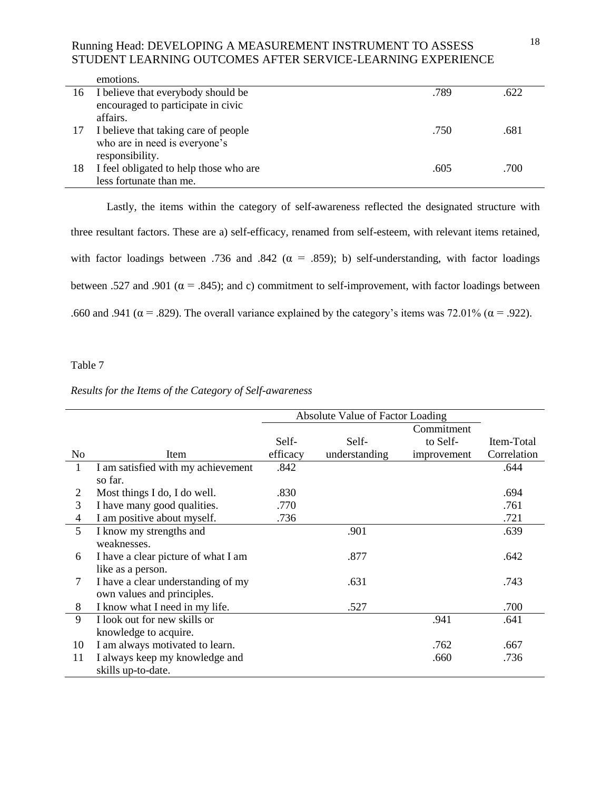|    | emotions.                              |      |      |
|----|----------------------------------------|------|------|
| 16 | I believe that everybody should be     | .789 | .622 |
|    | encouraged to participate in civic     |      |      |
|    | affairs.                               |      |      |
| 17 | I believe that taking care of people   | .750 | .681 |
|    | who are in need is everyone's          |      |      |
|    | responsibility.                        |      |      |
| 18 | I feel obligated to help those who are | .605 | .700 |
|    | less fortunate than me.                |      |      |

Lastly, the items within the category of self-awareness reflected the designated structure with three resultant factors. These are a) self-efficacy, renamed from self-esteem, with relevant items retained, with factor loadings between .736 and .842 ( $\alpha$  = .859); b) self-understanding, with factor loadings between .527 and .901 ( $\alpha$  = .845); and c) commitment to self-improvement, with factor loadings between .660 and .941 ( $\alpha$  = .829). The overall variance explained by the category's items was 72.01% ( $\alpha$  = .922).

#### Table 7

### *Results for the Items of the Category of Self-awareness*

|                |                                     | Absolute Value of Factor Loading |               |             |             |  |
|----------------|-------------------------------------|----------------------------------|---------------|-------------|-------------|--|
|                |                                     |                                  | Commitment    |             |             |  |
|                |                                     | Self-                            | Self-         | to Self-    | Item-Total  |  |
| N <sub>0</sub> | Item                                | efficacy                         | understanding | improvement | Correlation |  |
| 1              | I am satisfied with my achievement  | .842                             |               |             | .644        |  |
|                | so far.                             |                                  |               |             |             |  |
| 2              | Most things I do, I do well.        | .830                             |               |             | .694        |  |
| 3              | I have many good qualities.         | .770                             |               |             | .761        |  |
| 4              | I am positive about myself.         | .736                             |               |             | .721        |  |
| 5              | I know my strengths and             |                                  | .901          |             | .639        |  |
|                | weaknesses.                         |                                  |               |             |             |  |
| 6              | I have a clear picture of what I am |                                  | .877          |             | .642        |  |
|                | like as a person.                   |                                  |               |             |             |  |
| 7              | I have a clear understanding of my  |                                  | .631          |             | .743        |  |
|                | own values and principles.          |                                  |               |             |             |  |
| 8              | I know what I need in my life.      |                                  | .527          |             | .700        |  |
| 9              | I look out for new skills or        |                                  |               | .941        | .641        |  |
|                | knowledge to acquire.               |                                  |               |             |             |  |
| 10             | I am always motivated to learn.     |                                  |               | .762        | .667        |  |
| 11             | I always keep my knowledge and      |                                  |               | .660        | .736        |  |
|                | skills up-to-date.                  |                                  |               |             |             |  |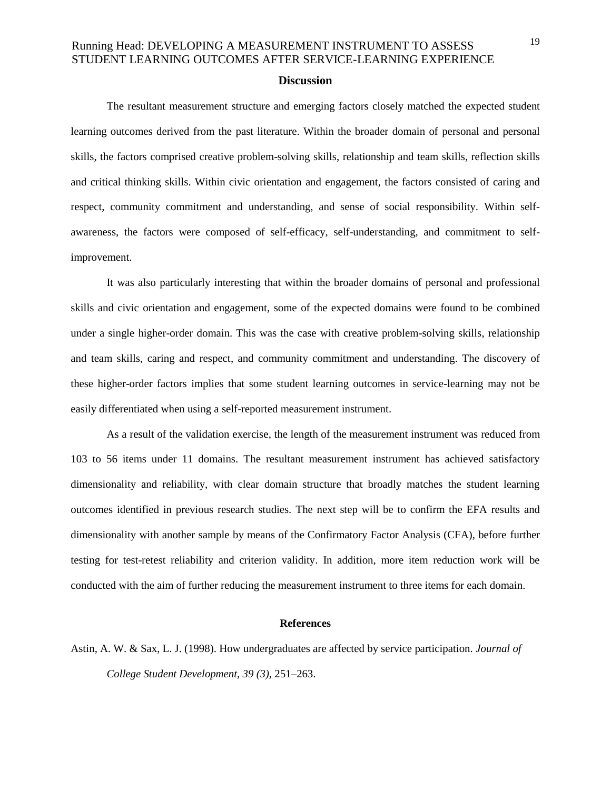### **Discussion**

The resultant measurement structure and emerging factors closely matched the expected student learning outcomes derived from the past literature. Within the broader domain of personal and personal skills, the factors comprised creative problem-solving skills, relationship and team skills, reflection skills and critical thinking skills. Within civic orientation and engagement, the factors consisted of caring and respect, community commitment and understanding, and sense of social responsibility. Within selfawareness, the factors were composed of self-efficacy, self-understanding, and commitment to selfimprovement.

It was also particularly interesting that within the broader domains of personal and professional skills and civic orientation and engagement, some of the expected domains were found to be combined under a single higher-order domain. This was the case with creative problem-solving skills, relationship and team skills, caring and respect, and community commitment and understanding. The discovery of these higher-order factors implies that some student learning outcomes in service-learning may not be easily differentiated when using a self-reported measurement instrument.

As a result of the validation exercise, the length of the measurement instrument was reduced from 103 to 56 items under 11 domains. The resultant measurement instrument has achieved satisfactory dimensionality and reliability, with clear domain structure that broadly matches the student learning outcomes identified in previous research studies. The next step will be to confirm the EFA results and dimensionality with another sample by means of the Confirmatory Factor Analysis (CFA), before further testing for test-retest reliability and criterion validity. In addition, more item reduction work will be conducted with the aim of further reducing the measurement instrument to three items for each domain.

#### **References**

Astin, A. W. & Sax, L. J. (1998). How undergraduates are affected by service participation. *Journal of College Student Development, 39 (3),* 251–263.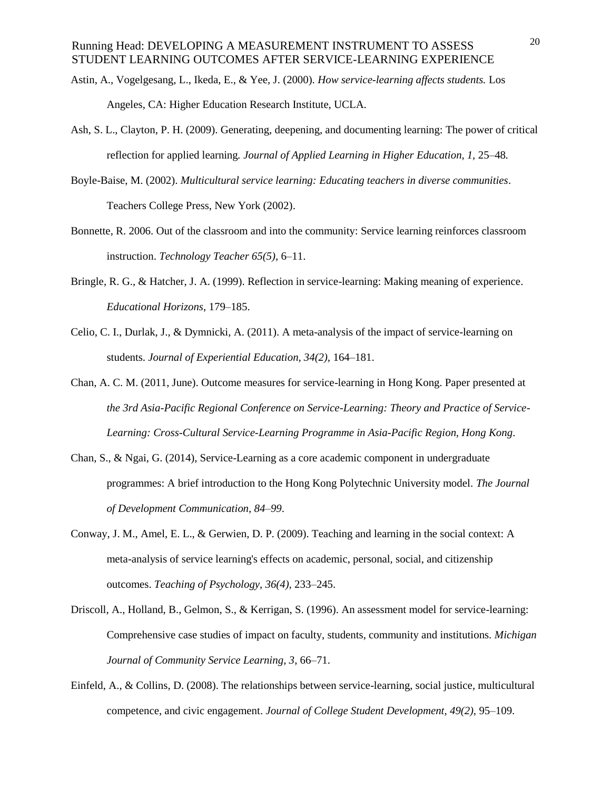- Astin, A., Vogelgesang, L., Ikeda, E., & Yee, J. (2000). *How service-learning affects students.* Los Angeles, CA: Higher Education Research Institute, UCLA.
- Ash, S. L., Clayton, P. H. (2009). Generating, deepening, and documenting learning: The power of critical reflection for applied learning*. Journal of Applied Learning in Higher Education, 1,* 25–48*.*
- Boyle-Baise, M. (2002). *Multicultural service learning: Educating teachers in diverse communities*. Teachers College Press, New York (2002).
- Bonnette, R. 2006. Out of the classroom and into the community: Service learning reinforces classroom instruction. *Technology Teacher 65(5),* 6–11.
- Bringle, R. G., & Hatcher, J. A. (1999). Reflection in service-learning: Making meaning of experience. *Educational Horizons*, 179–185.
- Celio, C. I., Durlak, J., & Dymnicki, A. (2011). A meta-analysis of the impact of service-learning on students. *Journal of Experiential Education, 34(2),* 164–181.
- Chan, A. C. M. (2011, June). Outcome measures for service-learning in Hong Kong. Paper presented at *the 3rd Asia-Pacific Regional Conference on Service-Learning: Theory and Practice of Service-Learning: Cross-Cultural Service-Learning Programme in Asia-Pacific Region, Hong Kong*.
- Chan, S., & Ngai, G. (2014), Service-Learning as a core academic component in undergraduate programmes: A brief introduction to the Hong Kong Polytechnic University model. *The Journal of Development Communication, 84–99*.
- Conway, J. M., Amel, E. L., & Gerwien, D. P. (2009). Teaching and learning in the social context: A meta-analysis of service learning's effects on academic, personal, social, and citizenship outcomes. *Teaching of Psychology, 36(4),* 233–245.
- Driscoll, A., Holland, B., Gelmon, S., & Kerrigan, S. (1996). An assessment model for service-learning: Comprehensive case studies of impact on faculty, students, community and institutions. *Michigan Journal of Community Service Learning, 3*, 66–71.
- Einfeld, A., & Collins, D. (2008). The relationships between service-learning, social justice, multicultural competence, and civic engagement. *Journal of College Student Development, 49(2),* 95–109.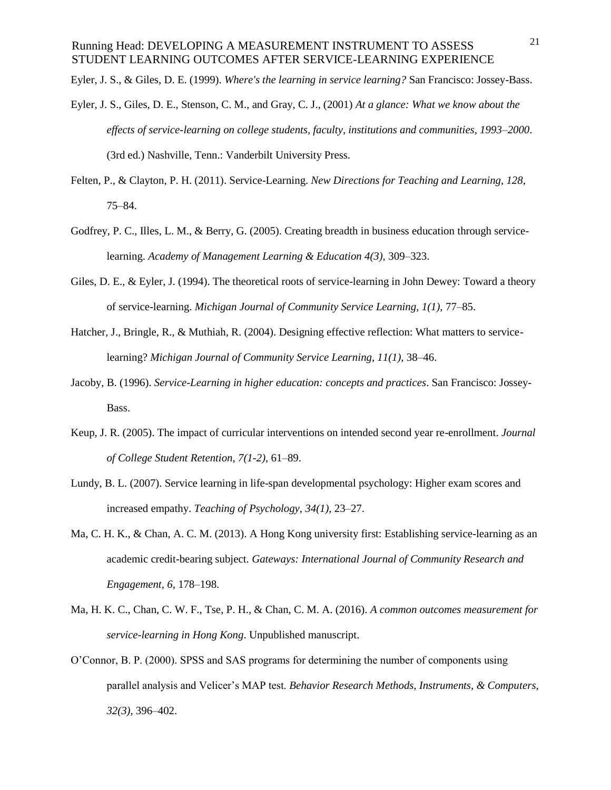Eyler, J. S., & Giles, D. E. (1999). *Where's the learning in service learning?* San Francisco: Jossey-Bass.

- Eyler, J. S., Giles, D. E., Stenson, C. M., and Gray, C. J., (2001) *At a glance: What we know about the effects of service-learning on college students, faculty, institutions and communities, 1993*–*2000*. (3rd ed.) Nashville, Tenn.: Vanderbilt University Press.
- Felten, P., & Clayton, P. H. (2011). Service-Learning. *New Directions for Teaching and Learning, 128,* 75–84.
- Godfrey, P. C., Illes, L. M., & Berry, G. (2005). Creating breadth in business education through servicelearning. *Academy of Management Learning & Education 4(3),* 309–323.
- Giles, D. E., & Eyler, J. (1994). The theoretical roots of service-learning in John Dewey: Toward a theory of service-learning. *Michigan Journal of Community Service Learning, 1(1),* 77–85.
- Hatcher, J., Bringle, R., & Muthiah, R. (2004). Designing effective reflection: What matters to servicelearning? *Michigan Journal of Community Service Learning, 11(1)*, 38–46.
- Jacoby, B. (1996). *Service-Learning in higher education: concepts and practices*. San Francisco: Jossey-Bass.
- Keup, J. R. (2005). The impact of curricular interventions on intended second year re-enrollment. *Journal of College Student Retention, 7(1-2),* 61–89.
- Lundy, B. L. (2007). Service learning in life-span developmental psychology: Higher exam scores and increased empathy. *Teaching of Psychology, 34(1),* 23–27.
- Ma, C. H. K., & Chan, A. C. M. (2013). A Hong Kong university first: Establishing service-learning as an academic credit-bearing subject. *Gateways: International Journal of Community Research and Engagement, 6,* 178–198.
- Ma, H. K. C., Chan, C. W. F., Tse, P. H., & Chan, C. M. A. (2016). *A common outcomes measurement for service-learning in Hong Kong*. Unpublished manuscript.
- O'Connor, B. P. (2000). SPSS and SAS programs for determining the number of components using parallel analysis and Velicer's MAP test. *Behavior Research Methods, Instruments, & Computers, 32(3),* 396–402.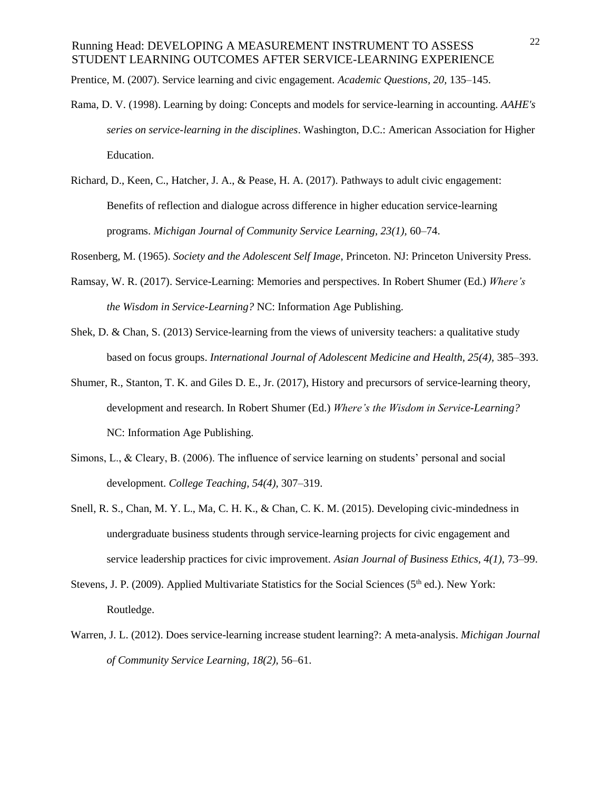Prentice, M. (2007). Service learning and civic engagement. *Academic Questions, 20,* 135–145.

- Rama, D. V. (1998). Learning by doing: Concepts and models for service-learning in accounting. *AAHE's series on service-learning in the disciplines*. Washington, D.C.: American Association for Higher Education.
- Richard, D., Keen, C., Hatcher, J. A., & Pease, H. A. (2017). Pathways to adult civic engagement: Benefits of reflection and dialogue across difference in higher education service-learning programs. *Michigan Journal of Community Service Learning, 23(1),* 60–74.
- Rosenberg, M. (1965). *Society and the Adolescent Self Image*, Princeton. NJ: Princeton University Press.
- Ramsay, W. R. (2017). Service-Learning: Memories and perspectives. In Robert Shumer (Ed.) *Where's the Wisdom in Service-Learning?* NC: Information Age Publishing.
- Shek, D. & Chan, S. (2013) Service-learning from the views of university teachers: a qualitative study based on focus groups. *International Journal of Adolescent Medicine and Health, 25(4),* 385–393.
- Shumer, R., Stanton, T. K. and Giles D. E., Jr. (2017), History and precursors of service-learning theory, development and research. In Robert Shumer (Ed.) *Where's the Wisdom in Service-Learning?* NC: Information Age Publishing.
- Simons, L., & Cleary, B. (2006). The influence of service learning on students' personal and social development. *College Teaching, 54(4),* 307–319.
- Snell, R. S., Chan, M. Y. L., Ma, C. H. K., & Chan, C. K. M. (2015). Developing civic-mindedness in undergraduate business students through service-learning projects for civic engagement and service leadership practices for civic improvement. *Asian Journal of Business Ethics, 4(1),* 73–99.
- Stevens, J. P. (2009). Applied Multivariate Statistics for the Social Sciences ( $5<sup>th</sup>$  ed.). New York: Routledge.
- Warren, J. L. (2012). Does service-learning increase student learning?: A meta-analysis. *Michigan Journal of Community Service Learning, 18(2),* 56–61.